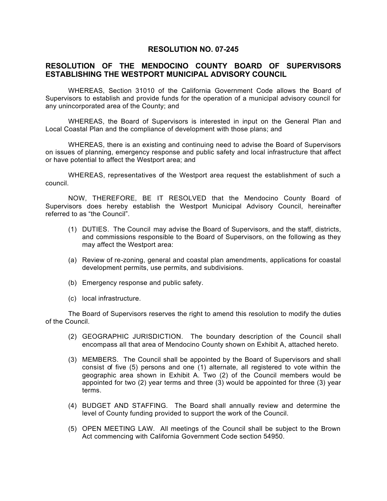## **RESOLUTION NO. 07-245**

## **RESOLUTION OF THE MENDOCINO COUNTY BOARD OF SUPERVISORS ESTABLISHING THE WESTPORT MUNICIPAL ADVISORY COUNCIL**

WHEREAS, Section 31010 of the California Government Code allows the Board of Supervisors to establish and provide funds for the operation of a municipal advisory council for any unincorporated area of the County; and

WHEREAS, the Board of Supervisors is interested in input on the General Plan and Local Coastal Plan and the compliance of development with those plans; and

WHEREAS, there is an existing and continuing need to advise the Board of Supervisors on issues of planning, emergency response and public safety and local infrastructure that affect or have potential to affect the Westport area; and

WHEREAS, representatives of the Westport area request the establishment of such a council.

NOW, THEREFORE, BE IT RESOLVED that the Mendocino County Board of Supervisors does hereby establish the Westport Municipal Advisory Council, hereinafter referred to as "the Council".

- (1) DUTIES. The Council may advise the Board of Supervisors, and the staff, districts, and commissions responsible to the Board of Supervisors, on the following as they may affect the Westport area:
- (a) Review of re-zoning, general and coastal plan amendments, applications for coastal development permits, use permits, and subdivisions.
- (b) Emergency response and public safety.
- (c) local infrastructure.

The Board of Supervisors reserves the right to amend this resolution to modify the duties of the Council.

- (2) GEOGRAPHIC JURISDICTION. The boundary description of the Council shall encompass all that area of Mendocino County shown on Exhibit A, attached hereto.
- (3) MEMBERS. The Council shall be appointed by the Board of Supervisors and shall consist of five (5) persons and one (1) alternate, all registered to vote within the geographic area shown in Exhibit A. Two (2) of the Council members would be appointed for two (2) year terms and three (3) would be appointed for three (3) year terms.
- (4) BUDGET AND STAFFING. The Board shall annually review and determine the level of County funding provided to support the work of the Council.
- (5) OPEN MEETING LAW. All meetings of the Council shall be subject to the Brown Act commencing with California Government Code section 54950.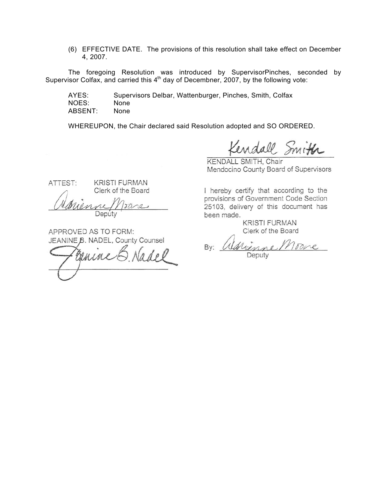(6) EFFECTIVE DATE. The provisions of this resolution shall take effect on December 4, 2007.

The foregoing Resolution was introduced by SupervisorPinches, seconded by Supervisor Colfax, and carried this  $4<sup>th</sup>$  day of Decembner, 2007, by the following vote:

AYES: Supervisors Delbar, Wattenburger, Pinches, Smith, Colfax NOES: None ABSENT: None

WHEREUPON, the Chair declared said Resolution adopted and SO ORDERED.

endall Smith

KENDALL SMITH, Chair Mendocino County Board of Supervisors

I hereby certify that according to the provisions of Government Code Section 25103, delivery of this document has been made.

> **KRISTI FURMAN** Clerk of the Board

Torre By: renne

Deputy

ATTEST:

**KRISTI FURMAN** Clerk of the Board

 $\overline{\partial}$ Deputy

APPROVED AS TO FORM: JEANINE B. NADEL, County Counsel

 $A$ adol Guine